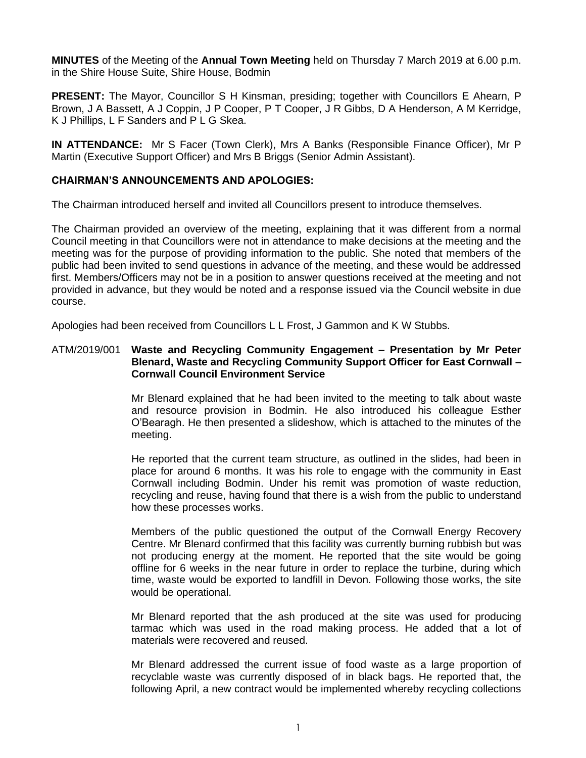**MINUTES** of the Meeting of the **Annual Town Meeting** held on Thursday 7 March 2019 at 6.00 p.m. in the Shire House Suite, Shire House, Bodmin

**PRESENT:** The Mayor, Councillor S H Kinsman, presiding; together with Councillors E Ahearn, P Brown, J A Bassett, A J Coppin, J P Cooper, P T Cooper, J R Gibbs, D A Henderson, A M Kerridge, K J Phillips, L F Sanders and P L G Skea.

**IN ATTENDANCE:** Mr S Facer (Town Clerk), Mrs A Banks (Responsible Finance Officer), Mr P Martin (Executive Support Officer) and Mrs B Briggs (Senior Admin Assistant).

## **CHAIRMAN'S ANNOUNCEMENTS AND APOLOGIES:**

The Chairman introduced herself and invited all Councillors present to introduce themselves.

The Chairman provided an overview of the meeting, explaining that it was different from a normal Council meeting in that Councillors were not in attendance to make decisions at the meeting and the meeting was for the purpose of providing information to the public. She noted that members of the public had been invited to send questions in advance of the meeting, and these would be addressed first. Members/Officers may not be in a position to answer questions received at the meeting and not provided in advance, but they would be noted and a response issued via the Council website in due course.

Apologies had been received from Councillors L L Frost, J Gammon and K W Stubbs.

## ATM/2019/001 **Waste and Recycling Community Engagement – Presentation by Mr Peter Blenard, Waste and Recycling Community Support Officer for East Cornwall – Cornwall Council Environment Service**

Mr Blenard explained that he had been invited to the meeting to talk about waste and resource provision in Bodmin. He also introduced his colleague Esther O'Bearagh. He then presented a slideshow, which is attached to the minutes of the meeting.

He reported that the current team structure, as outlined in the slides, had been in place for around 6 months. It was his role to engage with the community in East Cornwall including Bodmin. Under his remit was promotion of waste reduction, recycling and reuse, having found that there is a wish from the public to understand how these processes works.

Members of the public questioned the output of the Cornwall Energy Recovery Centre. Mr Blenard confirmed that this facility was currently burning rubbish but was not producing energy at the moment. He reported that the site would be going offline for 6 weeks in the near future in order to replace the turbine, during which time, waste would be exported to landfill in Devon. Following those works, the site would be operational.

Mr Blenard reported that the ash produced at the site was used for producing tarmac which was used in the road making process. He added that a lot of materials were recovered and reused.

Mr Blenard addressed the current issue of food waste as a large proportion of recyclable waste was currently disposed of in black bags. He reported that, the following April, a new contract would be implemented whereby recycling collections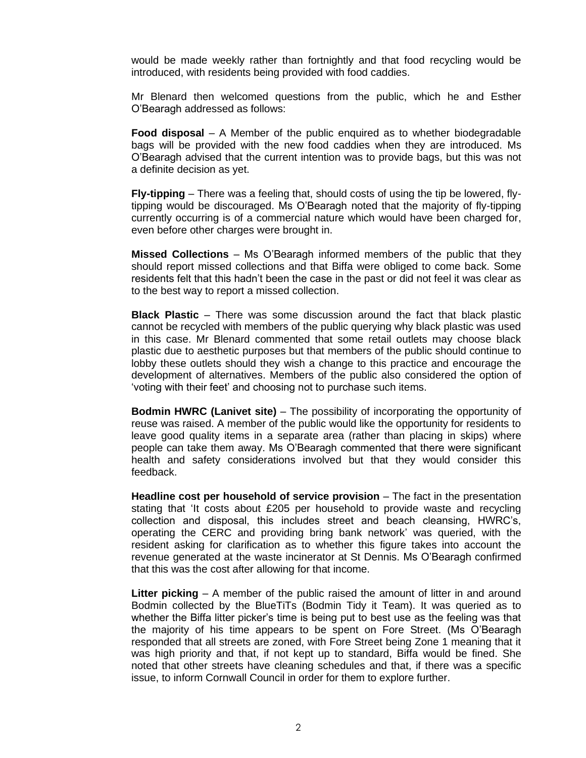would be made weekly rather than fortnightly and that food recycling would be introduced, with residents being provided with food caddies.

Mr Blenard then welcomed questions from the public, which he and Esther O'Bearagh addressed as follows:

**Food disposal** – A Member of the public enquired as to whether biodegradable bags will be provided with the new food caddies when they are introduced. Ms O'Bearagh advised that the current intention was to provide bags, but this was not a definite decision as yet.

**Fly-tipping** – There was a feeling that, should costs of using the tip be lowered, flytipping would be discouraged. Ms O'Bearagh noted that the majority of fly-tipping currently occurring is of a commercial nature which would have been charged for, even before other charges were brought in.

**Missed Collections** – Ms O'Bearagh informed members of the public that they should report missed collections and that Biffa were obliged to come back. Some residents felt that this hadn't been the case in the past or did not feel it was clear as to the best way to report a missed collection.

**Black Plastic** – There was some discussion around the fact that black plastic cannot be recycled with members of the public querying why black plastic was used in this case. Mr Blenard commented that some retail outlets may choose black plastic due to aesthetic purposes but that members of the public should continue to lobby these outlets should they wish a change to this practice and encourage the development of alternatives. Members of the public also considered the option of 'voting with their feet' and choosing not to purchase such items.

**Bodmin HWRC (Lanivet site)** – The possibility of incorporating the opportunity of reuse was raised. A member of the public would like the opportunity for residents to leave good quality items in a separate area (rather than placing in skips) where people can take them away. Ms O'Bearagh commented that there were significant health and safety considerations involved but that they would consider this feedback.

**Headline cost per household of service provision** – The fact in the presentation stating that 'It costs about £205 per household to provide waste and recycling collection and disposal, this includes street and beach cleansing, HWRC's, operating the CERC and providing bring bank network' was queried, with the resident asking for clarification as to whether this figure takes into account the revenue generated at the waste incinerator at St Dennis. Ms O'Bearagh confirmed that this was the cost after allowing for that income.

**Litter picking** – A member of the public raised the amount of litter in and around Bodmin collected by the BlueTiTs (Bodmin Tidy it Team). It was queried as to whether the Biffa litter picker's time is being put to best use as the feeling was that the majority of his time appears to be spent on Fore Street. (Ms O'Bearagh responded that all streets are zoned, with Fore Street being Zone 1 meaning that it was high priority and that, if not kept up to standard, Biffa would be fined. She noted that other streets have cleaning schedules and that, if there was a specific issue, to inform Cornwall Council in order for them to explore further.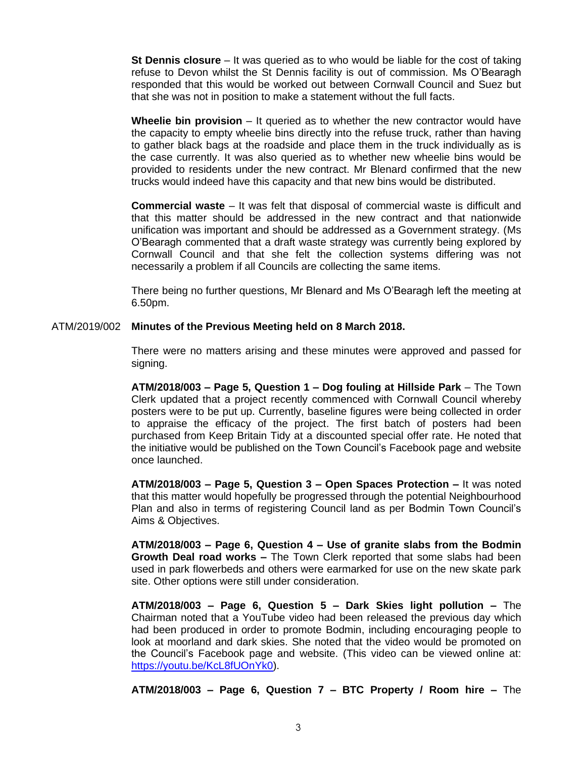**St Dennis closure** – It was queried as to who would be liable for the cost of taking refuse to Devon whilst the St Dennis facility is out of commission. Ms O'Bearagh responded that this would be worked out between Cornwall Council and Suez but that she was not in position to make a statement without the full facts.

**Wheelie bin provision** – It queried as to whether the new contractor would have the capacity to empty wheelie bins directly into the refuse truck, rather than having to gather black bags at the roadside and place them in the truck individually as is the case currently. It was also queried as to whether new wheelie bins would be provided to residents under the new contract. Mr Blenard confirmed that the new trucks would indeed have this capacity and that new bins would be distributed.

**Commercial waste** – It was felt that disposal of commercial waste is difficult and that this matter should be addressed in the new contract and that nationwide unification was important and should be addressed as a Government strategy. (Ms O'Bearagh commented that a draft waste strategy was currently being explored by Cornwall Council and that she felt the collection systems differing was not necessarily a problem if all Councils are collecting the same items.

There being no further questions, Mr Blenard and Ms O'Bearagh left the meeting at 6.50pm.

ATM/2019/002 **Minutes of the Previous Meeting held on 8 March 2018.**

There were no matters arising and these minutes were approved and passed for signing.

**ATM/2018/003 – Page 5, Question 1 – Dog fouling at Hillside Park** – The Town Clerk updated that a project recently commenced with Cornwall Council whereby posters were to be put up. Currently, baseline figures were being collected in order to appraise the efficacy of the project. The first batch of posters had been purchased from Keep Britain Tidy at a discounted special offer rate. He noted that the initiative would be published on the Town Council's Facebook page and website once launched.

**ATM/2018/003 – Page 5, Question 3 – Open Spaces Protection –** It was noted that this matter would hopefully be progressed through the potential Neighbourhood Plan and also in terms of registering Council land as per Bodmin Town Council's Aims & Objectives.

**ATM/2018/003 – Page 6, Question 4 – Use of granite slabs from the Bodmin Growth Deal road works –** The Town Clerk reported that some slabs had been used in park flowerbeds and others were earmarked for use on the new skate park site. Other options were still under consideration.

**ATM/2018/003 – Page 6, Question 5 – Dark Skies light pollution –** The Chairman noted that a YouTube video had been released the previous day which had been produced in order to promote Bodmin, including encouraging people to look at moorland and dark skies. She noted that the video would be promoted on the Council's Facebook page and website. (This video can be viewed online at: [https://youtu.be/KcL8fUOnYk0\)](https://youtu.be/KcL8fUOnYk0).

**ATM/2018/003 – Page 6, Question 7 – BTC Property / Room hire –** The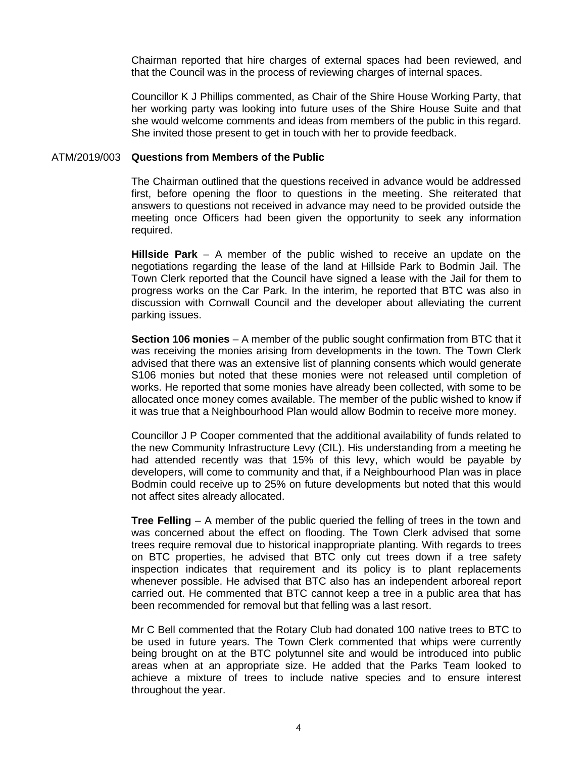Chairman reported that hire charges of external spaces had been reviewed, and that the Council was in the process of reviewing charges of internal spaces.

Councillor K J Phillips commented, as Chair of the Shire House Working Party, that her working party was looking into future uses of the Shire House Suite and that she would welcome comments and ideas from members of the public in this regard. She invited those present to get in touch with her to provide feedback.

## ATM/2019/003 **Questions from Members of the Public**

The Chairman outlined that the questions received in advance would be addressed first, before opening the floor to questions in the meeting. She reiterated that answers to questions not received in advance may need to be provided outside the meeting once Officers had been given the opportunity to seek any information required.

**Hillside Park** – A member of the public wished to receive an update on the negotiations regarding the lease of the land at Hillside Park to Bodmin Jail. The Town Clerk reported that the Council have signed a lease with the Jail for them to progress works on the Car Park. In the interim, he reported that BTC was also in discussion with Cornwall Council and the developer about alleviating the current parking issues.

**Section 106 monies** – A member of the public sought confirmation from BTC that it was receiving the monies arising from developments in the town. The Town Clerk advised that there was an extensive list of planning consents which would generate S106 monies but noted that these monies were not released until completion of works. He reported that some monies have already been collected, with some to be allocated once money comes available. The member of the public wished to know if it was true that a Neighbourhood Plan would allow Bodmin to receive more money.

Councillor J P Cooper commented that the additional availability of funds related to the new Community Infrastructure Levy (CIL). His understanding from a meeting he had attended recently was that 15% of this levy, which would be payable by developers, will come to community and that, if a Neighbourhood Plan was in place Bodmin could receive up to 25% on future developments but noted that this would not affect sites already allocated.

**Tree Felling** – A member of the public queried the felling of trees in the town and was concerned about the effect on flooding. The Town Clerk advised that some trees require removal due to historical inappropriate planting. With regards to trees on BTC properties, he advised that BTC only cut trees down if a tree safety inspection indicates that requirement and its policy is to plant replacements whenever possible. He advised that BTC also has an independent arboreal report carried out. He commented that BTC cannot keep a tree in a public area that has been recommended for removal but that felling was a last resort.

Mr C Bell commented that the Rotary Club had donated 100 native trees to BTC to be used in future years. The Town Clerk commented that whips were currently being brought on at the BTC polytunnel site and would be introduced into public areas when at an appropriate size. He added that the Parks Team looked to achieve a mixture of trees to include native species and to ensure interest throughout the year.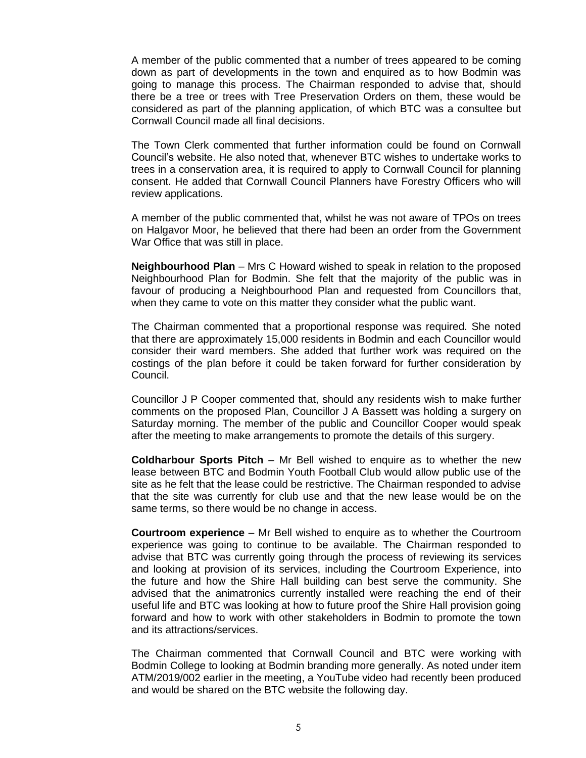A member of the public commented that a number of trees appeared to be coming down as part of developments in the town and enquired as to how Bodmin was going to manage this process. The Chairman responded to advise that, should there be a tree or trees with Tree Preservation Orders on them, these would be considered as part of the planning application, of which BTC was a consultee but Cornwall Council made all final decisions.

The Town Clerk commented that further information could be found on Cornwall Council's website. He also noted that, whenever BTC wishes to undertake works to trees in a conservation area, it is required to apply to Cornwall Council for planning consent. He added that Cornwall Council Planners have Forestry Officers who will review applications.

A member of the public commented that, whilst he was not aware of TPOs on trees on Halgavor Moor, he believed that there had been an order from the Government War Office that was still in place.

**Neighbourhood Plan** – Mrs C Howard wished to speak in relation to the proposed Neighbourhood Plan for Bodmin. She felt that the majority of the public was in favour of producing a Neighbourhood Plan and requested from Councillors that, when they came to vote on this matter they consider what the public want.

The Chairman commented that a proportional response was required. She noted that there are approximately 15,000 residents in Bodmin and each Councillor would consider their ward members. She added that further work was required on the costings of the plan before it could be taken forward for further consideration by Council.

Councillor J P Cooper commented that, should any residents wish to make further comments on the proposed Plan, Councillor J A Bassett was holding a surgery on Saturday morning. The member of the public and Councillor Cooper would speak after the meeting to make arrangements to promote the details of this surgery.

**Coldharbour Sports Pitch** – Mr Bell wished to enquire as to whether the new lease between BTC and Bodmin Youth Football Club would allow public use of the site as he felt that the lease could be restrictive. The Chairman responded to advise that the site was currently for club use and that the new lease would be on the same terms, so there would be no change in access.

**Courtroom experience** – Mr Bell wished to enquire as to whether the Courtroom experience was going to continue to be available. The Chairman responded to advise that BTC was currently going through the process of reviewing its services and looking at provision of its services, including the Courtroom Experience, into the future and how the Shire Hall building can best serve the community. She advised that the animatronics currently installed were reaching the end of their useful life and BTC was looking at how to future proof the Shire Hall provision going forward and how to work with other stakeholders in Bodmin to promote the town and its attractions/services.

The Chairman commented that Cornwall Council and BTC were working with Bodmin College to looking at Bodmin branding more generally. As noted under item ATM/2019/002 earlier in the meeting, a YouTube video had recently been produced and would be shared on the BTC website the following day.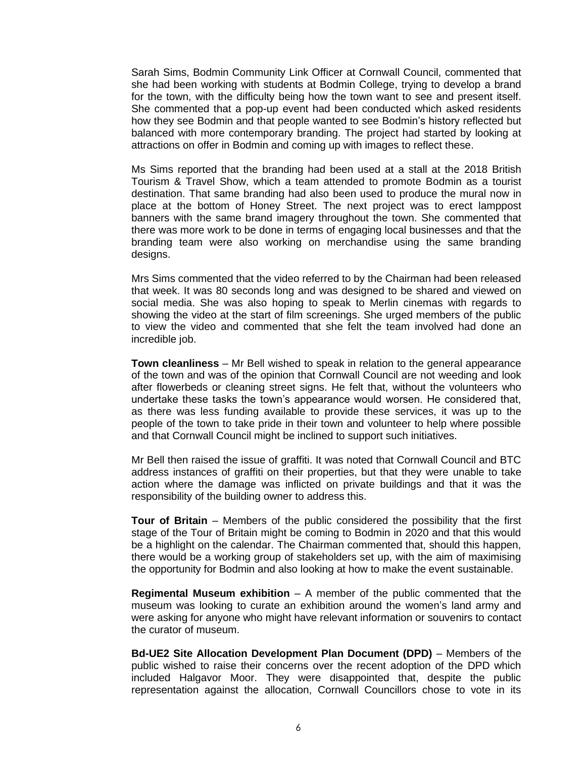Sarah Sims, Bodmin Community Link Officer at Cornwall Council, commented that she had been working with students at Bodmin College, trying to develop a brand for the town, with the difficulty being how the town want to see and present itself. She commented that a pop-up event had been conducted which asked residents how they see Bodmin and that people wanted to see Bodmin's history reflected but balanced with more contemporary branding. The project had started by looking at attractions on offer in Bodmin and coming up with images to reflect these.

Ms Sims reported that the branding had been used at a stall at the 2018 British Tourism & Travel Show, which a team attended to promote Bodmin as a tourist destination. That same branding had also been used to produce the mural now in place at the bottom of Honey Street. The next project was to erect lamppost banners with the same brand imagery throughout the town. She commented that there was more work to be done in terms of engaging local businesses and that the branding team were also working on merchandise using the same branding designs.

Mrs Sims commented that the video referred to by the Chairman had been released that week. It was 80 seconds long and was designed to be shared and viewed on social media. She was also hoping to speak to Merlin cinemas with regards to showing the video at the start of film screenings. She urged members of the public to view the video and commented that she felt the team involved had done an incredible job.

**Town cleanliness** – Mr Bell wished to speak in relation to the general appearance of the town and was of the opinion that Cornwall Council are not weeding and look after flowerbeds or cleaning street signs. He felt that, without the volunteers who undertake these tasks the town's appearance would worsen. He considered that, as there was less funding available to provide these services, it was up to the people of the town to take pride in their town and volunteer to help where possible and that Cornwall Council might be inclined to support such initiatives.

Mr Bell then raised the issue of graffiti. It was noted that Cornwall Council and BTC address instances of graffiti on their properties, but that they were unable to take action where the damage was inflicted on private buildings and that it was the responsibility of the building owner to address this.

**Tour of Britain** – Members of the public considered the possibility that the first stage of the Tour of Britain might be coming to Bodmin in 2020 and that this would be a highlight on the calendar. The Chairman commented that, should this happen, there would be a working group of stakeholders set up, with the aim of maximising the opportunity for Bodmin and also looking at how to make the event sustainable.

**Regimental Museum exhibition** – A member of the public commented that the museum was looking to curate an exhibition around the women's land army and were asking for anyone who might have relevant information or souvenirs to contact the curator of museum.

**Bd-UE2 Site Allocation Development Plan Document (DPD)** – Members of the public wished to raise their concerns over the recent adoption of the DPD which included Halgavor Moor. They were disappointed that, despite the public representation against the allocation, Cornwall Councillors chose to vote in its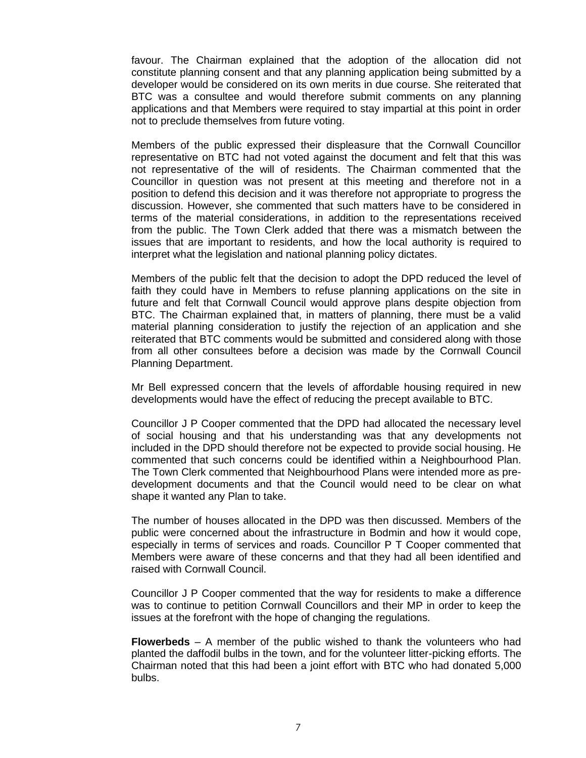favour. The Chairman explained that the adoption of the allocation did not constitute planning consent and that any planning application being submitted by a developer would be considered on its own merits in due course. She reiterated that BTC was a consultee and would therefore submit comments on any planning applications and that Members were required to stay impartial at this point in order not to preclude themselves from future voting.

Members of the public expressed their displeasure that the Cornwall Councillor representative on BTC had not voted against the document and felt that this was not representative of the will of residents. The Chairman commented that the Councillor in question was not present at this meeting and therefore not in a position to defend this decision and it was therefore not appropriate to progress the discussion. However, she commented that such matters have to be considered in terms of the material considerations, in addition to the representations received from the public. The Town Clerk added that there was a mismatch between the issues that are important to residents, and how the local authority is required to interpret what the legislation and national planning policy dictates.

Members of the public felt that the decision to adopt the DPD reduced the level of faith they could have in Members to refuse planning applications on the site in future and felt that Cornwall Council would approve plans despite objection from BTC. The Chairman explained that, in matters of planning, there must be a valid material planning consideration to justify the rejection of an application and she reiterated that BTC comments would be submitted and considered along with those from all other consultees before a decision was made by the Cornwall Council Planning Department.

Mr Bell expressed concern that the levels of affordable housing required in new developments would have the effect of reducing the precept available to BTC.

Councillor J P Cooper commented that the DPD had allocated the necessary level of social housing and that his understanding was that any developments not included in the DPD should therefore not be expected to provide social housing. He commented that such concerns could be identified within a Neighbourhood Plan. The Town Clerk commented that Neighbourhood Plans were intended more as predevelopment documents and that the Council would need to be clear on what shape it wanted any Plan to take.

The number of houses allocated in the DPD was then discussed. Members of the public were concerned about the infrastructure in Bodmin and how it would cope, especially in terms of services and roads. Councillor P T Cooper commented that Members were aware of these concerns and that they had all been identified and raised with Cornwall Council.

Councillor J P Cooper commented that the way for residents to make a difference was to continue to petition Cornwall Councillors and their MP in order to keep the issues at the forefront with the hope of changing the regulations.

**Flowerbeds** – A member of the public wished to thank the volunteers who had planted the daffodil bulbs in the town, and for the volunteer litter-picking efforts. The Chairman noted that this had been a joint effort with BTC who had donated 5,000 bulbs.